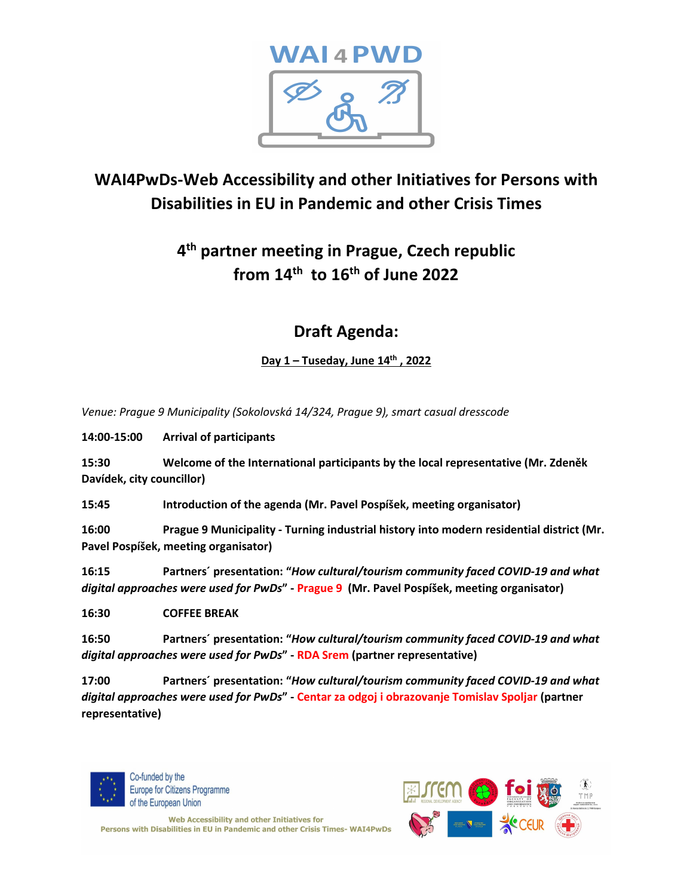

# **WAI4PwDs-Web Accessibility and other Initiatives for Persons with Disabilities in EU in Pandemic and other Crisis Times**

# **4 th partner meeting in Prague, Czech republic from 14 th to 16 th of June 2022**

## **Draft Agenda:**

**Day 1 – Tuseday, June 14 th , 2022**

*Venue: Prague 9 Municipality (Sokolovská 14/324, Prague 9), smart casual dresscode*

**14:00-15:00 Arrival of participants**

**15:30 Welcome of the International participants by the local representative (Mr. Zdeněk Davídek, city councillor)**

**15:45 Introduction of the agenda (Mr. Pavel Pospíšek, meeting organisator)**

**16:00 Prague 9 Municipality - Turning industrial history into modern residential district (Mr. Pavel Pospíšek, meeting organisator)**

**16:15 Partners´ presentation: "***How cultural/tourism community faced COVID-19 and what digital approaches were used for PwDs***" - Prague 9 (Mr. Pavel Pospíšek, meeting organisator)**

**16:30 COFFEE BREAK**

**16:50 Partners´ presentation: "***How cultural/tourism community faced COVID-19 and what digital approaches were used for PwDs***" - RDA Srem (partner representative)**

**17:00 Partners´ presentation: "***How cultural/tourism community faced COVID-19 and what digital approaches were used for PwDs***" - Centar za odgoj i obrazovanje Tomislav Spoljar (partner representative)**



Co-funded by the **Europe for Citizens Programme** of the European Union



Web Accessibility and other Initiatives for Persons with Disabilities in EU in Pandemic and other Crisis Times-WAI4PwDs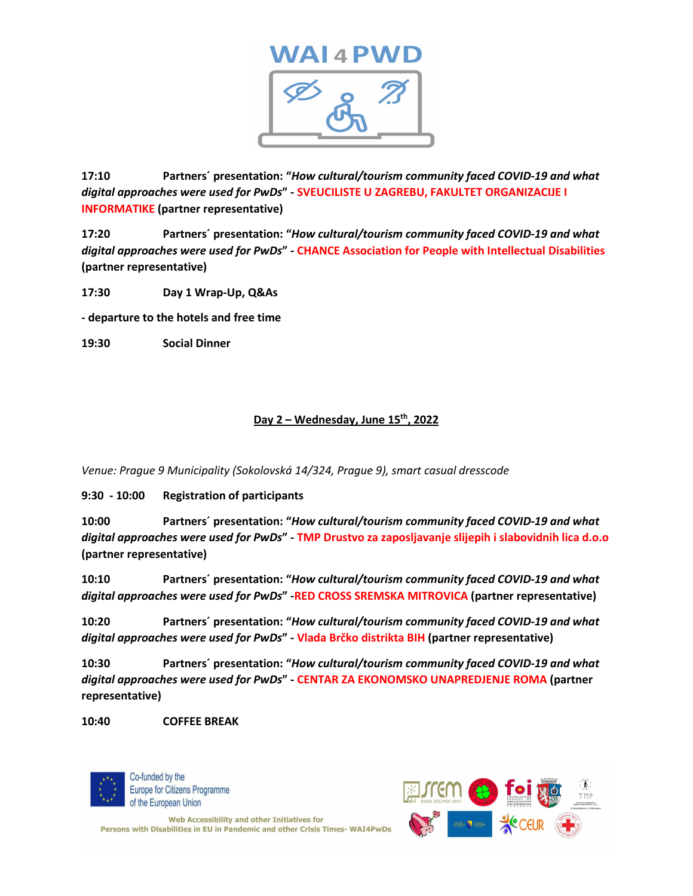

**17:10 Partners´ presentation: "***How cultural/tourism community faced COVID-19 and what digital approaches were used for PwDs***" - SVEUCILISTE U ZAGREBU, FAKULTET ORGANIZACIJE I INFORMATIKE (partner representative)**

**17:20 Partners´ presentation: "***How cultural/tourism community faced COVID-19 and what digital approaches were used for PwDs***" - CHANCE Association for People with Intellectual Disabilities (partner representative)**

**17:30 Day 1 Wrap-Up, Q&As**

**- departure to the hotels and free time**

**19:30 Social Dinner**

### **Day 2 – Wednesday, June 15 th , 2022**

*Venue: Prague 9 Municipality (Sokolovská 14/324, Prague 9), smart casual dresscode*

**9:30 - 10:00 Registration of participants**

**10:00 Partners´ presentation: "***How cultural/tourism community faced COVID-19 and what digital approaches were used for PwDs***" - TMP Drustvo za zaposljavanje slijepih i slabovidnih lica d.o.o (partner representative)**

**10:10 Partners´ presentation: "***How cultural/tourism community faced COVID-19 and what digital approaches were used for PwDs***" -RED CROSS SREMSKA MITROVICA (partner representative)**

**10:20 Partners´ presentation: "***How cultural/tourism community faced COVID-19 and what digital approaches were used for PwDs***" - Vlada Brčko distrikta BIH (partner representative)**

**10:30 Partners´ presentation: "***How cultural/tourism community faced COVID-19 and what digital approaches were used for PwDs***" - CENTAR ZA EKONOMSKO UNAPREDJENJE ROMA (partner representative)**

**10:40 COFFEE BREAK**



Co-funded by the **Europe for Citizens Programme** of the European Union



Web Accessibility and other Initiatives for Persons with Disabilities in EU in Pandemic and other Crisis Times-WAI4PwDs